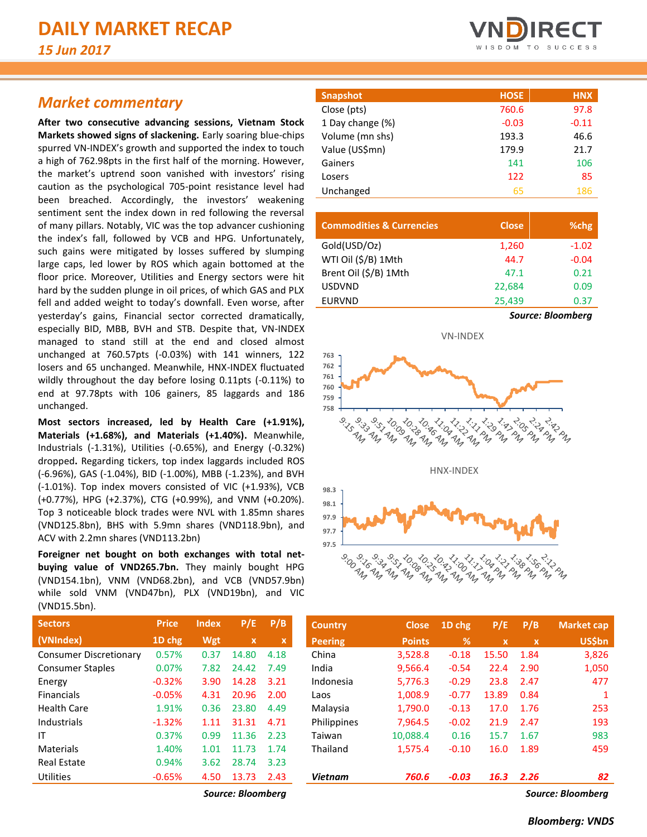## *Market commentary*

**After two consecutive advancing sessions, Vietnam Stock Markets showed signs of slackening.** Early soaring blue-chips spurred VN-INDEX's growth and supported the index to touch a high of 762.98pts in the first half of the morning. However, the market's uptrend soon vanished with investors' rising caution as the psychological 705-point resistance level had been breached. Accordingly, the investors' weakening sentiment sent the index down in red following the reversal of many pillars. Notably, VIC was the top advancer cushioning the index's fall, followed by VCB and HPG. Unfortunately, such gains were mitigated by losses suffered by slumping large caps, led lower by ROS which again bottomed at the floor price. Moreover, Utilities and Energy sectors were hit hard by the sudden plunge in oil prices, of which GAS and PLX fell and added weight to today's downfall. Even worse, after yesterday's gains, Financial sector corrected dramatically, especially BID, MBB, BVH and STB. Despite that, VN-INDEX managed to stand still at the end and closed almost unchanged at 760.57pts (-0.03%) with 141 winners, 122 losers and 65 unchanged. Meanwhile, HNX-INDEX fluctuated wildly throughout the day before losing 0.11pts (-0.11%) to end at 97.78pts with 106 gainers, 85 laggards and 186 unchanged.

**Most sectors increased, led by Health Care (+1.91%), Materials (+1.68%), and Materials (+1.40%).** Meanwhile, Industrials (-1.31%), Utilities (-0.65%), and Energy (-0.32%) dropped**.** Regarding tickers, top index laggards included ROS (-6.96%), GAS (-1.04%), BID (-1.00%), MBB (-1.23%), and BVH (-1.01%). Top index movers consisted of VIC (+1.93%), VCB (+0.77%), HPG (+2.37%), CTG (+0.99%), and VNM (+0.20%). Top 3 noticeable block trades were NVL with 1.85mn shares (VND125.8bn), BHS with 5.9mn shares (VND118.9bn), and ACV with 2.2mn shares (VND113.2bn)

**Foreigner net bought on both exchanges with total netbuying value of VND265.7bn.** They mainly bought HPG (VND154.1bn), VNM (VND68.2bn), and VCB (VND57.9bn) while sold VNM (VND47bn), PLX (VND19bn), and VIC (VND15.5bn).

| <b>Price</b> | <b>Index</b> | P/E         | P/B  |
|--------------|--------------|-------------|------|
| 1D chg       | Wgt          | $\mathbf x$ | x    |
| 0.57%        | 0.37         | 14.80       | 4.18 |
| 0.07%        | 7.82         | 24.42       | 7.49 |
| $-0.32%$     | 3.90         | 14.28       | 3.21 |
| $-0.05%$     | 4.31         | 20.96       | 2.00 |
| 1.91%        | 0.36         | 23.80       | 4.49 |
| $-1.32%$     | 1.11         | 31.31       | 4.71 |
| 0.37%        | 0.99         | 11.36       | 2.23 |
| 1.40%        | 1.01         | 11.73       | 1.74 |
| 0.94%        | 3.62         | 28.74       | 3.23 |
| $-0.65%$     | 4.50         | 13.73       | 2.43 |
|              |              |             |      |



| <b>Snapshot</b>  | <b>HOSE</b> | <b>HNX</b> |
|------------------|-------------|------------|
| Close (pts)      | 760.6       | 97.8       |
| 1 Day change (%) | $-0.03$     | $-0.11$    |
| Volume (mn shs)  | 193.3       | 46.6       |
| Value (US\$mn)   | 179.9       | 21.7       |
| Gainers          | 141         | 106        |
| Losers           | 122         | 85         |
| Unchanged        | 65          | 186        |
|                  |             |            |

| <b>Commodities &amp; Currencies</b> | <b>Close</b> | %chg                     |  |  |  |  |
|-------------------------------------|--------------|--------------------------|--|--|--|--|
| Gold(USD/Oz)                        | 1,260        | $-1.02$                  |  |  |  |  |
| WTI Oil (\$/B) 1Mth                 | 44.7         | $-0.04$                  |  |  |  |  |
| Brent Oil (\$/B) 1Mth               | 47.1         | 0.21                     |  |  |  |  |
| <b>USDVND</b>                       | 22,684       | 0.09                     |  |  |  |  |
| <b>EURVND</b>                       | 25,439       | 0.37                     |  |  |  |  |
|                                     |              | <b>Source: Bloomberg</b> |  |  |  |  |



| <b>Sectors</b>                | <b>Price</b> | <b>Index</b> | P/E          | P/B  | <b>Country</b> | <b>Close</b>  | 1D chg  | P/E          | P/B                      | <b>Market cap</b> |
|-------------------------------|--------------|--------------|--------------|------|----------------|---------------|---------|--------------|--------------------------|-------------------|
| (VNIndex)                     | 1D chg       | Wgt          | $\mathbf{x}$ | x    | <b>Peering</b> | <b>Points</b> | %       | $\mathbf{x}$ | $\mathbf{x}$             | <b>US\$bn</b>     |
| <b>Consumer Discretionary</b> | 0.57%        | 0.37         | 14.80        | 4.18 | China          | 3,528.8       | $-0.18$ | 15.50        | 1.84                     | 3,826             |
| <b>Consumer Staples</b>       | 0.07%        | 7.82         | 24.42        | 7.49 | India          | 9,566.4       | $-0.54$ | 22.4         | 2.90                     | 1,050             |
| Energy                        | $-0.32%$     | 3.90         | 14.28        | 3.21 | Indonesia      | 5,776.3       | $-0.29$ | 23.8         | 2.47                     | 477               |
| <b>Financials</b>             | $-0.05%$     | 4.31         | 20.96        | 2.00 | Laos           | 1,008.9       | $-0.77$ | 13.89        | 0.84                     |                   |
| Health Care                   | 1.91%        | 0.36         | 23.80        | 4.49 | Malaysia       | 1,790.0       | $-0.13$ | 17.0         | 1.76                     | 253               |
| Industrials                   | $-1.32%$     | 1.11         | 31.31        | 4.71 | Philippines    | 7.964.5       | $-0.02$ | 21.9         | 2.47                     | 193               |
| ΙT                            | 0.37%        | 0.99         | 11.36        | 2.23 | Taiwan         | 10,088.4      | 0.16    | 15.7         | 1.67                     | 983               |
| Materials                     | 1.40%        | 1.01         | 11.73        | 1.74 | Thailand       | 1,575.4       | $-0.10$ | 16.0         | 1.89                     | 459               |
| <b>Real Estate</b>            | 0.94%        | 3.62         | 28.74        | 3.23 |                |               |         |              |                          |                   |
| Utilities                     | $-0.65%$     | 4.50         | 13.73        | 2.43 | <b>Vietnam</b> | 760.6         | $-0.03$ | 16.3         | 2.26                     | 82                |
|                               |              |              | $-1$         | . .  |                |               |         |              | $\overline{\phantom{a}}$ | - '               |

*Source: Bloomberg Source: Bloomberg*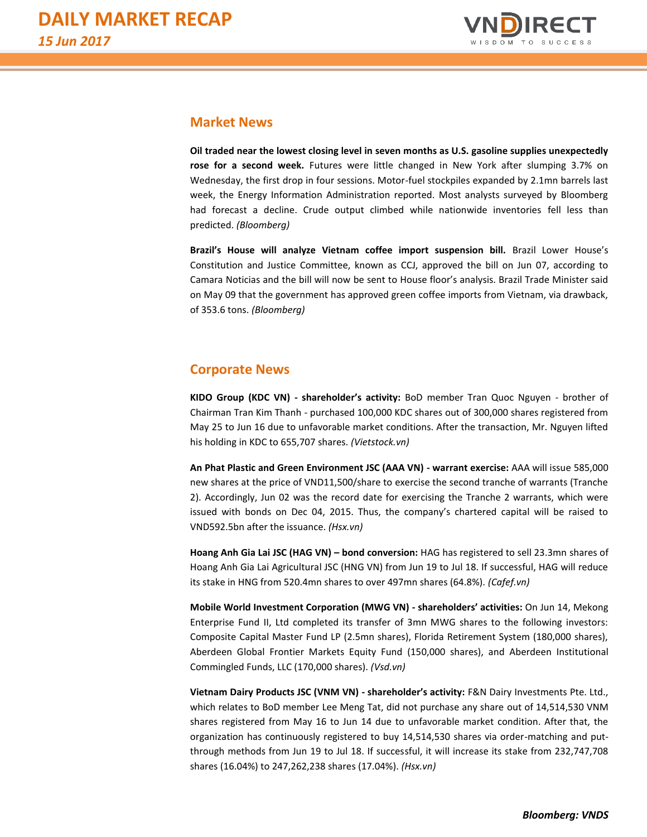

### **Market News**

**Oil traded near the lowest closing level in seven months as U.S. gasoline supplies unexpectedly rose for a second week.** Futures were little changed in New York after slumping 3.7% on Wednesday, the first drop in four sessions. Motor-fuel stockpiles expanded by 2.1mn barrels last week, the Energy Information Administration reported. Most analysts surveyed by Bloomberg had forecast a decline. Crude output climbed while nationwide inventories fell less than predicted. *(Bloomberg)*

**Brazil's House will analyze Vietnam coffee import suspension bill.** Brazil Lower House's Constitution and Justice Committee, known as CCJ, approved the bill on Jun 07, according to Camara Noticias and the bill will now be sent to House floor's analysis. Brazil Trade Minister said on May 09 that the government has approved green coffee imports from Vietnam, via drawback, of 353.6 tons. *(Bloomberg)*

#### **Corporate News**

**KIDO Group (KDC VN) - shareholder's activity:** BoD member Tran Quoc Nguyen - brother of Chairman Tran Kim Thanh - purchased 100,000 KDC shares out of 300,000 shares registered from May 25 to Jun 16 due to unfavorable market conditions. After the transaction, Mr. Nguyen lifted his holding in KDC to 655,707 shares. *(Vietstock.vn)*

**An Phat Plastic and Green Environment JSC (AAA VN) - warrant exercise:** AAA will issue 585,000 new shares at the price of VND11,500/share to exercise the second tranche of warrants (Tranche 2). Accordingly, Jun 02 was the record date for exercising the Tranche 2 warrants, which were issued with bonds on Dec 04, 2015. Thus, the company's chartered capital will be raised to VND592.5bn after the issuance. *(Hsx.vn)*

**Hoang Anh Gia Lai JSC (HAG VN) – bond conversion:** HAG has registered to sell 23.3mn shares of Hoang Anh Gia Lai Agricultural JSC (HNG VN) from Jun 19 to Jul 18. If successful, HAG will reduce its stake in HNG from 520.4mn shares to over 497mn shares (64.8%). *(Cafef.vn)*

**Mobile World Investment Corporation (MWG VN) - shareholders' activities:** On Jun 14, Mekong Enterprise Fund II, Ltd completed its transfer of 3mn MWG shares to the following investors: Composite Capital Master Fund LP (2.5mn shares), Florida Retirement System (180,000 shares), Aberdeen Global Frontier Markets Equity Fund (150,000 shares), and Aberdeen Institutional Commingled Funds, LLC (170,000 shares). *(Vsd.vn)* 

**Vietnam Dairy Products JSC (VNM VN) - shareholder's activity:** F&N Dairy Investments Pte. Ltd., which relates to BoD member Lee Meng Tat, did not purchase any share out of 14,514,530 VNM shares registered from May 16 to Jun 14 due to unfavorable market condition. After that, the organization has continuously registered to buy 14,514,530 shares via order-matching and putthrough methods from Jun 19 to Jul 18. If successful, it will increase its stake from 232,747,708 shares (16.04%) to 247,262,238 shares (17.04%). *(Hsx.vn)*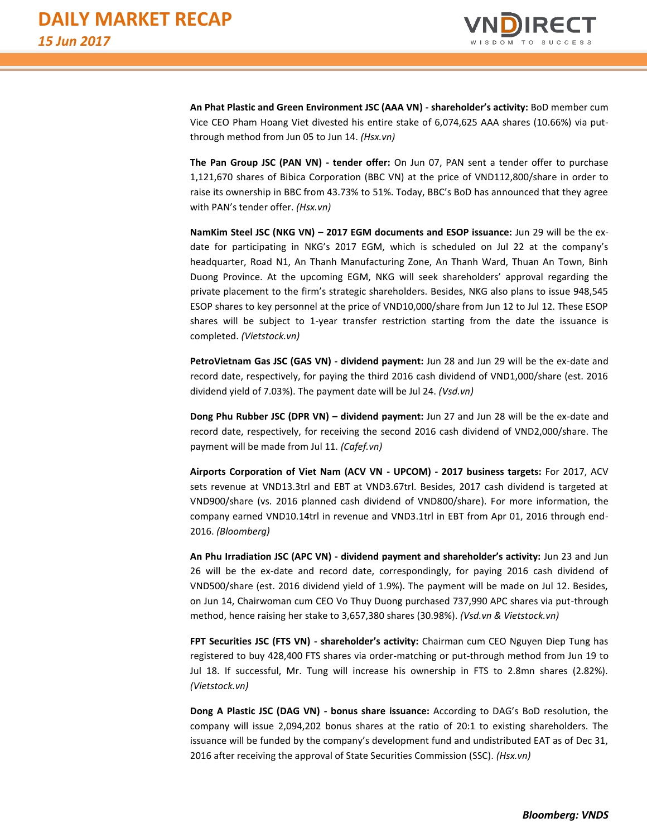

**An Phat Plastic and Green Environment JSC (AAA VN) - shareholder's activity:** BoD member cum Vice CEO Pham Hoang Viet divested his entire stake of 6,074,625 AAA shares (10.66%) via putthrough method from Jun 05 to Jun 14. *(Hsx.vn)*

**The Pan Group JSC (PAN VN) - tender offer:** On Jun 07, PAN sent a tender offer to purchase 1,121,670 shares of Bibica Corporation (BBC VN) at the price of VND112,800/share in order to raise its ownership in BBC from 43.73% to 51%. Today, BBC's BoD has announced that they agree with PAN's tender offer. *(Hsx.vn)* 

**NamKim Steel JSC (NKG VN) – 2017 EGM documents and ESOP issuance:** Jun 29 will be the exdate for participating in NKG's 2017 EGM, which is scheduled on Jul 22 at the company's headquarter, Road N1, An Thanh Manufacturing Zone, An Thanh Ward, Thuan An Town, Binh Duong Province. At the upcoming EGM, NKG will seek shareholders' approval regarding the private placement to the firm's strategic shareholders. Besides, NKG also plans to issue 948,545 ESOP shares to key personnel at the price of VND10,000/share from Jun 12 to Jul 12. These ESOP shares will be subject to 1-year transfer restriction starting from the date the issuance is completed. *(Vietstock.vn)*

**PetroVietnam Gas JSC (GAS VN) - dividend payment:** Jun 28 and Jun 29 will be the ex-date and record date, respectively, for paying the third 2016 cash dividend of VND1,000/share (est. 2016 dividend yield of 7.03%). The payment date will be Jul 24. *(Vsd.vn)*

**Dong Phu Rubber JSC (DPR VN) – dividend payment:** Jun 27 and Jun 28 will be the ex-date and record date, respectively, for receiving the second 2016 cash dividend of VND2,000/share. The payment will be made from Jul 11. *(Cafef.vn)*

**Airports Corporation of Viet Nam (ACV VN - UPCOM) - 2017 business targets:** For 2017, ACV sets revenue at VND13.3trl and EBT at VND3.67trl. Besides, 2017 cash dividend is targeted at VND900/share (vs. 2016 planned cash dividend of VND800/share). For more information, the company earned VND10.14trl in revenue and VND3.1trl in EBT from Apr 01, 2016 through end-2016. *(Bloomberg)*

**An Phu Irradiation JSC (APC VN) - dividend payment and shareholder's activity:** Jun 23 and Jun 26 will be the ex-date and record date, correspondingly, for paying 2016 cash dividend of VND500/share (est. 2016 dividend yield of 1.9%). The payment will be made on Jul 12. Besides, on Jun 14, Chairwoman cum CEO Vo Thuy Duong purchased 737,990 APC shares via put-through method, hence raising her stake to 3,657,380 shares (30.98%). *(Vsd.vn & Vietstock.vn)* 

**FPT Securities JSC (FTS VN) - shareholder's activity:** Chairman cum CEO Nguyen Diep Tung has registered to buy 428,400 FTS shares via order-matching or put-through method from Jun 19 to Jul 18. If successful, Mr. Tung will increase his ownership in FTS to 2.8mn shares (2.82%). *(Vietstock.vn)*

**Dong A Plastic JSC (DAG VN) - bonus share issuance:** According to DAG's BoD resolution, the company will issue 2,094,202 bonus shares at the ratio of 20:1 to existing shareholders. The issuance will be funded by the company's development fund and undistributed EAT as of Dec 31, 2016 after receiving the approval of State Securities Commission (SSC). *(Hsx.vn)*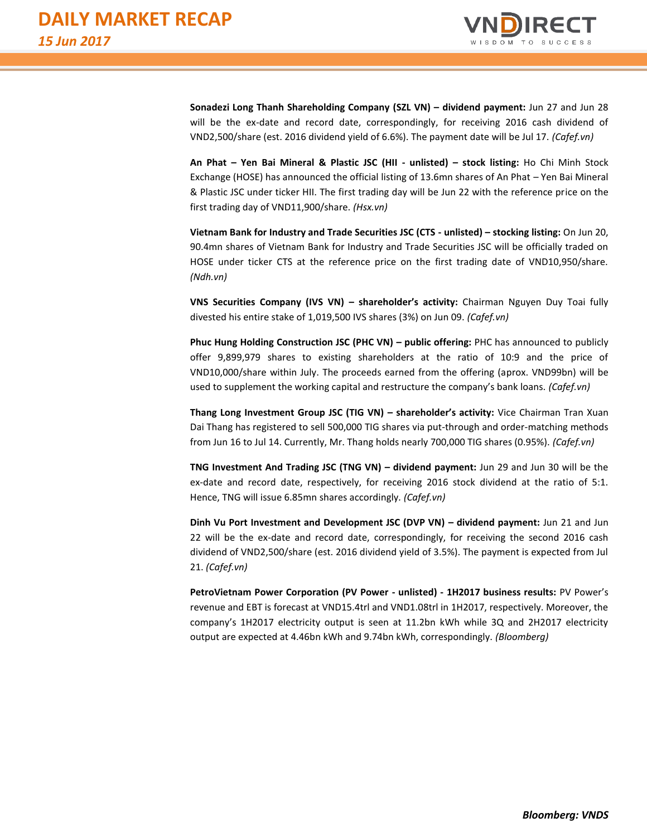

**Sonadezi Long Thanh Shareholding Company (SZL VN) – dividend payment:** Jun 27 and Jun 28 will be the ex-date and record date, correspondingly, for receiving 2016 cash dividend of VND2,500/share (est. 2016 dividend yield of 6.6%). The payment date will be Jul 17. *(Cafef.vn)*

**An Phat – Yen Bai Mineral & Plastic JSC (HII - unlisted) – stock listing:** Ho Chi Minh Stock Exchange (HOSE) has announced the official listing of 13.6mn shares of An Phat – Yen Bai Mineral & Plastic JSC under ticker HII. The first trading day will be Jun 22 with the reference price on the first trading day of VND11,900/share. *(Hsx.vn)*

**Vietnam Bank for Industry and Trade Securities JSC (CTS - unlisted) – stocking listing:** On Jun 20, 90.4mn shares of Vietnam Bank for Industry and Trade Securities JSC will be officially traded on HOSE under ticker CTS at the reference price on the first trading date of VND10,950/share. *(Ndh.vn)*

**VNS Securities Company (IVS VN) – shareholder's activity:** Chairman Nguyen Duy Toai fully divested his entire stake of 1,019,500 IVS shares (3%) on Jun 09. *(Cafef.vn)*

**Phuc Hung Holding Construction JSC (PHC VN) – public offering:** PHC has announced to publicly offer 9,899,979 shares to existing shareholders at the ratio of 10:9 and the price of VND10,000/share within July. The proceeds earned from the offering (aprox. VND99bn) will be used to supplement the working capital and restructure the company's bank loans. *(Cafef.vn)*

**Thang Long Investment Group JSC (TIG VN) – shareholder's activity:** Vice Chairman Tran Xuan Dai Thang has registered to sell 500,000 TIG shares via put-through and order-matching methods from Jun 16 to Jul 14. Currently, Mr. Thang holds nearly 700,000 TIG shares (0.95%). *(Cafef.vn)*

**TNG Investment And Trading JSC (TNG VN) – dividend payment:** Jun 29 and Jun 30 will be the ex-date and record date, respectively, for receiving 2016 stock dividend at the ratio of 5:1. Hence, TNG will issue 6.85mn shares accordingly*. (Cafef.vn)*

**Dinh Vu Port Investment and Development JSC (DVP VN) – dividend payment:** Jun 21 and Jun 22 will be the ex-date and record date, correspondingly, for receiving the second 2016 cash dividend of VND2,500/share (est. 2016 dividend yield of 3.5%). The payment is expected from Jul 21. *(Cafef.vn)*

**PetroVietnam Power Corporation (PV Power - unlisted) - 1H2017 business results:** PV Power's revenue and EBT is forecast at VND15.4trl and VND1.08trl in 1H2017, respectively. Moreover, the company's 1H2017 electricity output is seen at 11.2bn kWh while 3Q and 2H2017 electricity output are expected at 4.46bn kWh and 9.74bn kWh, correspondingly. *(Bloomberg)*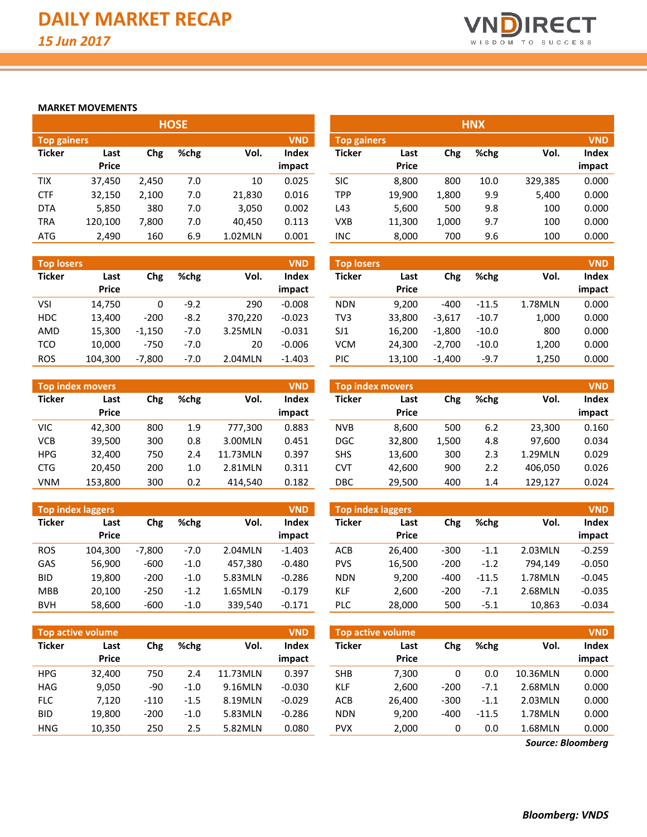

#### **MARKET MOVEMENTS**

|                    | <b>HOSE</b> |       |      |         |        |  |  |  |  |  |  |  |  |  |
|--------------------|-------------|-------|------|---------|--------|--|--|--|--|--|--|--|--|--|
| <b>Top gainers</b> |             |       |      |         |        |  |  |  |  |  |  |  |  |  |
| <b>Ticker</b>      | Last        | Chg   | %chg | Vol.    | Index  |  |  |  |  |  |  |  |  |  |
|                    | Price       |       |      |         | impact |  |  |  |  |  |  |  |  |  |
| TIX                | 37,450      | 2,450 | 7.0  | 10      | 0.025  |  |  |  |  |  |  |  |  |  |
| <b>CTF</b>         | 32,150      | 2,100 | 7.0  | 21,830  | 0.016  |  |  |  |  |  |  |  |  |  |
| <b>DTA</b>         | 5,850       | 380   | 7.0  | 3,050   | 0.002  |  |  |  |  |  |  |  |  |  |
| TRA                | 120,100     | 7,800 | 7.0  | 40,450  | 0.113  |  |  |  |  |  |  |  |  |  |
| ATG                | 2,490       | 160   | 6.9  | 1.02MLN | 0.001  |  |  |  |  |  |  |  |  |  |

| <b>Top losers</b> |              | <b>VND</b> |        |         |          |
|-------------------|--------------|------------|--------|---------|----------|
| <b>Ticker</b>     | Last         | Chg        | %chg   | Vol.    | Index    |
|                   | <b>Price</b> |            |        |         | impact   |
| VSI               | 14,750       | 0          | $-9.2$ | 290     | $-0.008$ |
| <b>HDC</b>        | 13.400       | $-200$     | $-8.2$ | 370,220 | $-0.023$ |
| AMD               | 15,300       | $-1,150$   | $-7.0$ | 3.25MLN | $-0.031$ |
| <b>TCO</b>        | 10,000       | $-750$     | $-7.0$ | 20      | $-0.006$ |
| <b>ROS</b>        | 104,300      | $-7,800$   | $-7.0$ | 2.04MLN | $-1.403$ |

|               | <b>Top index movers</b> |     |      |          | <b>VND</b> |
|---------------|-------------------------|-----|------|----------|------------|
| <b>Ticker</b> | Last                    | Chg | %chg | Vol.     | Index      |
|               | <b>Price</b>            |     |      |          | impact     |
| VIC           | 42,300                  | 800 | 1.9  | 777,300  | 0.883      |
| <b>VCB</b>    | 39,500                  | 300 | 0.8  | 3.00MLN  | 0.451      |
| <b>HPG</b>    | 32,400                  | 750 | 2.4  | 11.73MLN | 0.397      |
| <b>CTG</b>    | 20,450                  | 200 | 1.0  | 2.81MLN  | 0.311      |
| <b>VNM</b>    | 153,800                 | 300 | 0.2  | 414.540  | 0.182      |

|               | <b>Top index laggers</b> |          |        |         | <b>VND</b> |
|---------------|--------------------------|----------|--------|---------|------------|
| <b>Ticker</b> | Last                     | Chg      | %chg   | Vol.    | Index      |
|               | Price                    |          |        |         | impact     |
| <b>ROS</b>    | 104.300                  | $-7.800$ | $-7.0$ | 2.04MLN | $-1.403$   |
| GAS           | 56,900                   | $-600$   | $-1.0$ | 457,380 | $-0.480$   |
| <b>BID</b>    | 19,800                   | $-200$   | $-1.0$ | 5.83MLN | $-0.286$   |
| MBB           | 20,100                   | $-250$   | $-1.2$ | 1.65MLN | $-0.179$   |
| <b>BVH</b>    | 58,600                   | $-600$   | $-1.0$ | 339,540 | $-0.171$   |

|               | <b>Top active volume</b> |        |        |          |                 |  |  |  |  |  |  |  |  |
|---------------|--------------------------|--------|--------|----------|-----------------|--|--|--|--|--|--|--|--|
| <b>Ticker</b> | Last<br><b>Price</b>     | Chg    | %chg   | Vol.     | Index<br>impact |  |  |  |  |  |  |  |  |
| HPG           | 32.400                   | 750    | 2.4    | 11.73MLN | 0.397           |  |  |  |  |  |  |  |  |
| HAG           | 9,050                    | -90    | $-1.0$ | 9.16MLN  | $-0.030$        |  |  |  |  |  |  |  |  |
| <b>FLC</b>    | 7.120                    | $-110$ | $-1.5$ | 8.19MLN  | $-0.029$        |  |  |  |  |  |  |  |  |
| <b>BID</b>    | 19,800                   | $-200$ | $-1.0$ | 5.83MLN  | $-0.286$        |  |  |  |  |  |  |  |  |
| <b>HNG</b>    | 10,350                   | 250    | 2.5    | 5.82MLN  | 0.080           |  |  |  |  |  |  |  |  |

|                    |              |       | <b>HOSE</b> |         |            |                    | <b>HNX</b>   |       |      |         |            |  |
|--------------------|--------------|-------|-------------|---------|------------|--------------------|--------------|-------|------|---------|------------|--|
| <b>Top gainers</b> |              |       |             |         | <b>VND</b> | <b>Top gainers</b> |              |       |      |         | <b>VND</b> |  |
| Ticker             | Last         | Chg   | %chg        | Vol.    | Index      | <b>Ticker</b>      | Last         | Chg   | %chg | Vol.    | Index      |  |
|                    | <b>Price</b> |       |             |         | impact     |                    | <b>Price</b> |       |      |         | impact     |  |
| <b>TIX</b>         | 37.450       | 2.450 | 7.0         | 10      | 0.025      | <b>SIC</b>         | 8.800        | 800   | 10.0 | 329,385 | 0.000      |  |
| <b>CTF</b>         | 32,150       | 2,100 | 7.0         | 21,830  | 0.016      | <b>TPP</b>         | 19,900       | 1,800 | 9.9  | 5,400   | 0.000      |  |
| <b>DTA</b>         | 5,850        | 380   | 7.0         | 3,050   | 0.002      | L43                | 5,600        | 500   | 9.8  | 100     | 0.000      |  |
| TRA                | 120,100      | 7,800 | 7.0         | 40,450  | 0.113      | <b>VXB</b>         | 11,300       | 1,000 | 9.7  | 100     | 0.000      |  |
| ATG                | 2,490        | 160   | 6.9         | 1.02MLN | 0.001      | INC                | 8,000        | 700   | 9.6  | 100     | 0.000      |  |

| <b>Top losers</b> |                      |          |        |         | <b>VND</b>      | <b>Top losers</b> |                      |          |         |         | <b>VND</b>      |
|-------------------|----------------------|----------|--------|---------|-----------------|-------------------|----------------------|----------|---------|---------|-----------------|
| Ticker            | Last<br><b>Price</b> | Chg      | %chg   | Vol.    | Index<br>impact | <b>Ticker</b>     | Last<br><b>Price</b> | Chg      | %chg    | Vol.    | Index<br>impact |
| VSI               | 14,750               | 0        | $-9.2$ | 290     | $-0.008$        | <b>NDN</b>        | 9.200                | $-400$   | $-11.5$ | 1.78MLN | 0.000           |
| HDC               | 13.400               | $-200$   | $-8.2$ | 370.220 | $-0.023$        | TV3               | 33.800               | $-3.617$ | $-10.7$ | 1,000   | 0.000           |
| AMD               | 15,300               | $-1.150$ | $-7.0$ | 3.25MLN | $-0.031$        | SJ1               | 16.200               | $-1.800$ | $-10.0$ | 800     | 0.000           |
| TCO               | 10.000               | $-750$   | $-7.0$ | 20      | $-0.006$        | <b>VCM</b>        | 24.300               | $-2.700$ | $-10.0$ | 1,200   | 0.000           |
| <b>ROS</b>        | 104,300              | $-7.800$ | $-7.0$ | 2.04MLN | $-1.403$        | PIC               | 13.100               | $-1.400$ | $-9.7$  | 1.250   | 0.000           |

|            | <b>Top index movers</b> |     |      |          | <b>VND</b> |            | <b>Top index movers</b> |       |      |         | <b>VND</b> |
|------------|-------------------------|-----|------|----------|------------|------------|-------------------------|-------|------|---------|------------|
| Ticker     | Last                    | Chg | %chg | Vol.     | Index      | Ticker     | Last                    | Chg   | %chg | Vol.    | Index      |
|            | <b>Price</b>            |     |      |          | impact     |            | <b>Price</b>            |       |      |         | impact     |
| VIC        | 42,300                  | 800 | 1.9  | 777.300  | 0.883      | <b>NVB</b> | 8.600                   | 500   | 6.2  | 23,300  | 0.160      |
| VCB        | 39,500                  | 300 | 0.8  | 3.00MLN  | 0.451      | <b>DGC</b> | 32,800                  | 1,500 | 4.8  | 97,600  | 0.034      |
| <b>HPG</b> | 32,400                  | 750 | 2.4  | 11.73MLN | 0.397      | <b>SHS</b> | 13,600                  | 300   | 2.3  | 1.29MLN | 0.029      |
| <b>CTG</b> | 20,450                  | 200 | 1.0  | 2.81MLN  | 0.311      | CVT        | 42.600                  | 900   | 2.2  | 406.050 | 0.026      |
| VNM        | 153,800                 | 300 | 0.2  | 414.540  | 0.182      | DBC        | 29,500                  | 400   | 1.4  | 129.127 | 0.024      |

|            | <b>Top index laggers</b> |          |        |         | <b>VND</b> | <b>Top index laggers</b> |              |        |         |         | <b>VND</b> |
|------------|--------------------------|----------|--------|---------|------------|--------------------------|--------------|--------|---------|---------|------------|
| Ticker     | Last                     | Chg      | %chg   | Vol.    | Index      | <b>Ticker</b>            | Last         | Chg    | %chg    | Vol.    | Index      |
|            | <b>Price</b>             |          |        |         | impact     |                          | <b>Price</b> |        |         |         | impact     |
| <b>ROS</b> | 104.300                  | $-7.800$ | $-7.0$ | 2.04MLN | $-1.403$   | <b>ACB</b>               | 26.400       | $-300$ | $-1.1$  | 2.03MLN | $-0.259$   |
| GAS        | 56,900                   | $-600$   | $-1.0$ | 457.380 | $-0.480$   | <b>PVS</b>               | 16,500       | $-200$ | $-1.2$  | 794.149 | $-0.050$   |
| BID        | 19,800                   | $-200$   | $-1.0$ | 5.83MLN | $-0.286$   | <b>NDN</b>               | 9.200        | $-400$ | $-11.5$ | 1.78MLN | $-0.045$   |
| <b>MBB</b> | 20,100                   | $-250$   | $-1.2$ | 1.65MLN | $-0.179$   | <b>KLF</b>               | 2.600        | $-200$ | $-7.1$  | 2.68MLN | $-0.035$   |
| <b>BVH</b> | 58,600                   | $-600$   | $-1.0$ | 339,540 | $-0.171$   | <b>PLC</b>               | 28,000       | 500    | $-5.1$  | 10,863  | $-0.034$   |
|            |                          |          |        |         |            |                          |              |        |         |         |            |

|            | Top active volume |                     |        |          | <b>VND</b>    | <b>Top active volume</b> |              |        |         |          |        |  |
|------------|-------------------|---------------------|--------|----------|---------------|--------------------------|--------------|--------|---------|----------|--------|--|
| Ticker     | Last              | %chg<br>Vol.<br>Chg |        | Index    | <b>Ticker</b> | Last                     | Chg          | %chg   | Vol.    | Index    |        |  |
|            | <b>Price</b>      |                     |        |          | impact        |                          | <b>Price</b> |        |         |          | impact |  |
| HPG.       | 32,400            | 750                 | 2.4    | 11.73MLN | 0.397         | <b>SHB</b>               | 7.300        | 0      | 0.0     | 10.36MLN | 0.000  |  |
| HAG        | 9,050             | -90                 | $-1.0$ | 9.16MLN  | $-0.030$      | <b>KLF</b>               | 2.600        | $-200$ | $-7.1$  | 2.68MLN  | 0.000  |  |
| <b>FLC</b> | 7,120             | $-110$              | $-1.5$ | 8.19MLN  | $-0.029$      | ACB                      | 26.400       | $-300$ | $-1.1$  | 2.03MLN  | 0.000  |  |
| <b>BID</b> | 19,800            | $-200$              | $-1.0$ | 5.83MLN  | $-0.286$      | <b>NDN</b>               | 9.200        | -400   | $-11.5$ | 1.78MLN  | 0.000  |  |
| HNG        | 10,350            | 250                 | 2.5    | 5.82MLN  | 0.080         | <b>PVX</b>               | 2.000        | 0      | 0.0     | 1.68MLN  | 0.000  |  |

*Source: Bloomberg*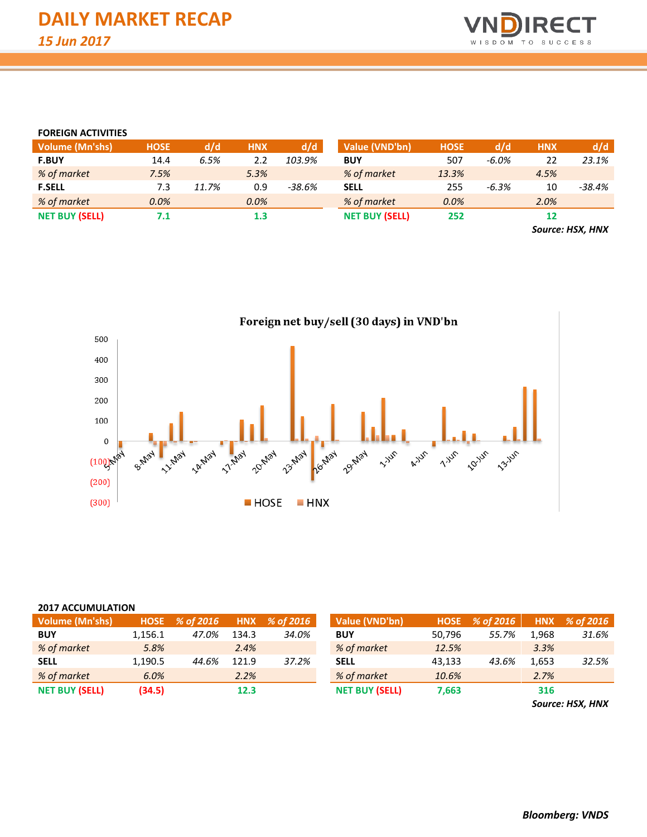

#### **FOREIGN ACTIVITIES**

| <b>Volume (Mn'shs)</b> | <b>HOSE</b> | d/d   | <b>HNX</b> | d/d      | Value (VND'bn)        | <b>HOSE</b> | d/d      | <b>HNX</b> | d/d      |
|------------------------|-------------|-------|------------|----------|-----------------------|-------------|----------|------------|----------|
| <b>F.BUY</b>           | 14.4        | 6.5%  | 2.2        | 103.9%   | <b>BUY</b>            | 507         | $-6.0\%$ | 22         | 23.1%    |
| % of market            | 7.5%        |       | 5.3%       |          | % of market           | 13.3%       |          | 4.5%       |          |
| <b>F.SELL</b>          | 7.3         | 11.7% | 0.9        | $-38.6%$ | <b>SELL</b>           | 255         | $-6.3%$  | 10         | $-38.4%$ |
| % of market            | 0.0%        |       | 0.0%       |          | % of market           | 0.0%        |          | 2.0%       |          |
| <b>NET BUY (SELL)</b>  | 7.1         |       | $1.3\,$    |          | <b>NET BUY (SELL)</b> | 252         |          |            |          |
|                        |             |       |            |          |                       |             |          | $\sim$     | .        |

*Source: HSX, HNX*



#### **2017 ACCUMULATION**

| Volume (Mn'shs)       | <b>HOSE</b> | % of 2016 | <b>HNX</b> | % of 2016 | Value (VND'bn)        | <b>HOSE</b> | % of 2016 | <b>HNX</b> | % of 2016 |
|-----------------------|-------------|-----------|------------|-----------|-----------------------|-------------|-----------|------------|-----------|
| <b>BUY</b>            | 1,156.1     | 47.0%     | 134.3      | 34.0%     | <b>BUY</b>            | 50,796      | 55.7%     | 1,968      | 31.6%     |
| % of market           | 5.8%        |           | 2.4%       |           | % of market           | 12.5%       |           | 3.3%       |           |
| <b>SELL</b>           | 1.190.5     | 44.6%     | 121.9      | 37.2%     | <b>SELL</b>           | 43,133      | 43.6%     | 1,653      | 32.5%     |
| % of market           | 6.0%        |           | 2.2%       |           | % of market           | 10.6%       |           | 2.7%       |           |
| <b>NET BUY (SELL)</b> | (34.5)      |           | 12.3       |           | <b>NET BUY (SELL)</b> | 7,663       |           | 316        |           |

*Source: HSX, HNX*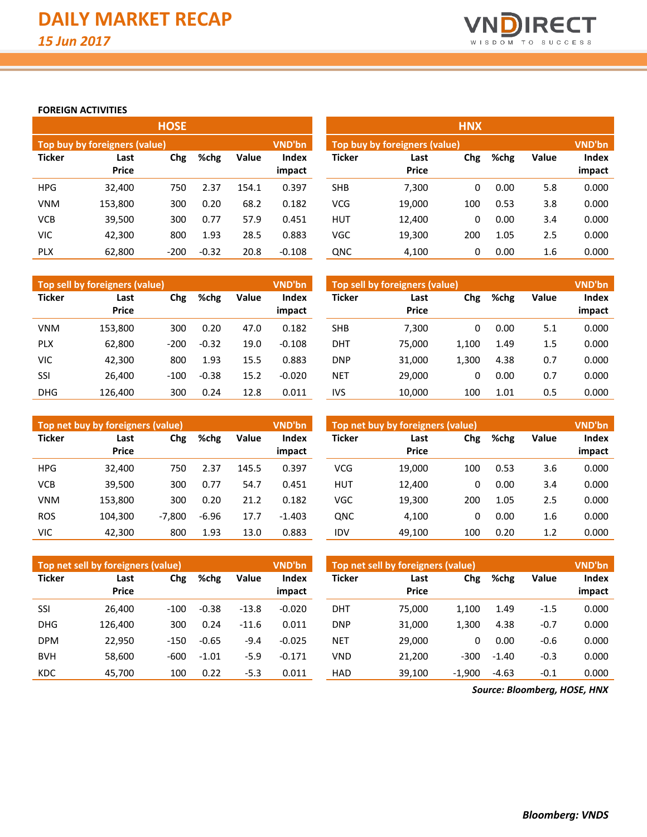

**Index impact**

#### **FOREIGN ACTIVITIES**

|               |                               | <b>HOSE</b> |         |       |                 | <b>HNX</b> |                                |     |      |       |                 |  |  |
|---------------|-------------------------------|-------------|---------|-------|-----------------|------------|--------------------------------|-----|------|-------|-----------------|--|--|
|               | Top buy by foreigners (value) |             |         |       | VND'bn          |            | Top buy by foreigners (value), |     |      |       | <b>VND'bn</b>   |  |  |
| <b>Ticker</b> | Last<br><b>Price</b>          | Chg         | %chg    | Value | Index<br>impact | Ticker     | Last<br><b>Price</b>           | Chg | %chg | Value | Index<br>impact |  |  |
| <b>HPG</b>    | 32,400                        | 750         | 2.37    | 154.1 | 0.397           | <b>SHB</b> | 7,300                          | 0   | 0.00 | 5.8   | 0.000           |  |  |
| <b>VNM</b>    | 153,800                       | 300         | 0.20    | 68.2  | 0.182           | <b>VCG</b> | 19,000                         | 100 | 0.53 | 3.8   | 0.000           |  |  |
| <b>VCB</b>    | 39,500                        | 300         | 0.77    | 57.9  | 0.451           | <b>HUT</b> | 12,400                         | 0   | 0.00 | 3.4   | 0.000           |  |  |
| VIC           | 42,300                        | 800         | 1.93    | 28.5  | 0.883           | VGC        | 19,300                         | 200 | 1.05 | 2.5   | 0.000           |  |  |
| <b>PLX</b>    | 62,800                        | $-200$      | $-0.32$ | 20.8  | $-0.108$        | QNC        | 4,100                          | 0   | 0.00 | 1.6   | 0.000           |  |  |

|               | Top sell by foreigners (value) |        |               |      | <b>VND'bn</b>          | Top sell by foreigners (value), |                      |            |      |       |                 |
|---------------|--------------------------------|--------|---------------|------|------------------------|---------------------------------|----------------------|------------|------|-------|-----------------|
| <b>Ticker</b> | Last<br><b>Price</b>           | Chg    | %chg<br>Value |      | <b>Index</b><br>impact | Ticker                          | Last<br><b>Price</b> | <b>Chg</b> | %chg | Value | Index<br>impact |
| <b>VNM</b>    | 153,800                        | 300    | 0.20          | 47.0 | 0.182                  | SHB                             | 7,300                | 0          | 0.00 | 5.1   | 0.000           |
| <b>PLX</b>    | 62,800                         | $-200$ | $-0.32$       | 19.0 | $-0.108$               | DHT                             | 75,000               | 1,100      | 1.49 | 1.5   | 0.000           |
| <b>VIC</b>    | 42.300                         | 800    | 1.93          | 15.5 | 0.883                  | DNP                             | 31,000               | 1,300      | 4.38 | 0.7   | 0.000           |
| SSI           | 26.400                         | $-100$ | $-0.38$       | 15.2 | $-0.020$               | <b>NET</b>                      | 29,000               | 0          | 0.00 | 0.7   | 0.000           |
| <b>DHG</b>    | 126.400                        | 300    | 0.24          | 12.8 | 0.011                  | IVS                             | 10.000               | 100        | 1.01 | 0.5   | 0.000           |

|               | Top net buy by foreigners (value) |          |         |       | <b>VND'bn</b>          | Top net buy by foreigners (value) |                      |     |      |              |                 |
|---------------|-----------------------------------|----------|---------|-------|------------------------|-----------------------------------|----------------------|-----|------|--------------|-----------------|
| <b>Ticker</b> | Last<br><b>Price</b>              | Chg      | %chg    | Value | <b>Index</b><br>impact | <b>Ticker</b>                     | Last<br><b>Price</b> | Chg | %chg | <b>Value</b> | Index<br>impact |
| <b>HPG</b>    | 32.400                            | 750      | 2.37    | 145.5 | 0.397                  | <b>VCG</b>                        | 19.000               | 100 | 0.53 | 3.6          | 0.000           |
| VCB           | 39.500                            | 300      | 0.77    | 54.7  | 0.451                  | <b>HUT</b>                        | 12.400               | 0   | 0.00 | 3.4          | 0.000           |
| <b>VNM</b>    | 153.800                           | 300      | 0.20    | 21.2  | 0.182                  | <b>VGC</b>                        | 19,300               | 200 | 1.05 | 2.5          | 0.000           |
| <b>ROS</b>    | 104.300                           | $-7.800$ | $-6.96$ | 17.7  | $-1.403$               | <b>QNC</b>                        | 4.100                | 0   | 0.00 | 1.6          | 0.000           |
| VIC           | 42,300                            | 800      | 1.93    | 13.0  | 0.883                  | IDV                               | 49,100               | 100 | 0.20 | 1.2          | 0.000           |

|               | Top net sell by foreigners (value) |        |         |         | <b>VND'bn</b>   |               | Top net sell by foreigners (value) |          |         |              |                 |  |
|---------------|------------------------------------|--------|---------|---------|-----------------|---------------|------------------------------------|----------|---------|--------------|-----------------|--|
| <b>Ticker</b> | Last<br><b>Price</b>               | Chg    | %chg    | Value   | Index<br>impact | <b>Ticker</b> | Last<br><b>Price</b>               | Chg      | %chg    | <b>Value</b> | Index<br>impact |  |
| SSI           | 26.400                             | $-100$ | $-0.38$ | $-13.8$ | $-0.020$        | DHT           | 75.000                             | 1.100    | 1.49    | $-1.5$       | 0.000           |  |
|               |                                    |        |         |         |                 |               |                                    |          |         |              |                 |  |
| <b>DHG</b>    | 126.400                            | 300    | 0.24    | $-11.6$ | 0.011           | <b>DNP</b>    | 31,000                             | 1,300    | 4.38    | $-0.7$       | 0.000           |  |
| <b>DPM</b>    | 22.950                             | $-150$ | $-0.65$ | $-9.4$  | $-0.025$        | <b>NET</b>    | 29,000                             | 0        | 0.00    | $-0.6$       | 0.000           |  |
| <b>BVH</b>    | 58.600                             | -600   | $-1.01$ | $-5.9$  | $-0.171$        | VND           | 21.200                             | $-300$   | $-1.40$ | $-0.3$       | 0.000           |  |
| <b>KDC</b>    | 45.700                             | 100    | 0.22    | $-5.3$  | 0.011           | <b>HAD</b>    | 39,100                             | $-1,900$ | $-4.63$ | $-0.1$       | 0.000           |  |

*Source: Bloomberg, HOSE, HNX*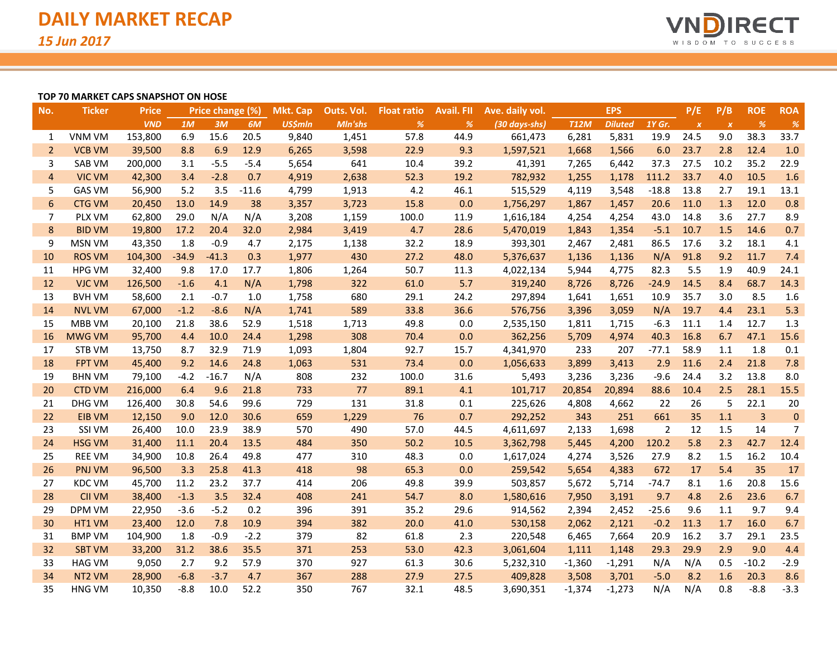

#### **TOP 70 MARKET CAPS SNAPSHOT ON HOSE**

| No.            | <b>Ticker</b> | <b>Price</b> |         | <b>Price change (%)</b> |         | Mkt. Cap       | Outs. Vol. | <b>Float ratio</b> | <b>Avail. FII</b> | Ave. daily vol. |             | <b>EPS</b>     |         | P/E              | P/B                       | <b>ROE</b> | <b>ROA</b>       |
|----------------|---------------|--------------|---------|-------------------------|---------|----------------|------------|--------------------|-------------------|-----------------|-------------|----------------|---------|------------------|---------------------------|------------|------------------|
|                |               | <b>VND</b>   | 1M      | 3M                      | 6M      | <b>US\$mln</b> | Mln'shs    | %                  | %                 | (30 days-shs)   | <b>T12M</b> | <b>Diluted</b> | 1Y Gr.  | $\boldsymbol{x}$ | $\boldsymbol{\mathsf{x}}$ | %          | $\frac{9}{6}$    |
| $\mathbf{1}$   | <b>VNM VM</b> | 153,800      | 6.9     | 15.6                    | 20.5    | 9,840          | 1,451      | 57.8               | 44.9              | 661,473         | 6,281       | 5,831          | 19.9    | 24.5             | 9.0                       | 38.3       | 33.7             |
| $\overline{2}$ | <b>VCB VM</b> | 39,500       | 8.8     | 6.9                     | 12.9    | 6,265          | 3,598      | 22.9               | 9.3               | 1,597,521       | 1,668       | 1,566          | 6.0     | 23.7             | 2.8                       | 12.4       | 1.0              |
| 3              | SAB VM        | 200,000      | 3.1     | $-5.5$                  | $-5.4$  | 5,654          | 641        | 10.4               | 39.2              | 41,391          | 7,265       | 6,442          | 37.3    | 27.5             | 10.2                      | 35.2       | 22.9             |
| $\overline{4}$ | <b>VIC VM</b> | 42,300       | 3.4     | $-2.8$                  | 0.7     | 4,919          | 2,638      | 52.3               | 19.2              | 782,932         | 1,255       | 1,178          | 111.2   | 33.7             | 4.0                       | 10.5       | 1.6              |
| 5              | <b>GAS VM</b> | 56,900       | 5.2     | 3.5                     | $-11.6$ | 4,799          | 1,913      | 4.2                | 46.1              | 515,529         | 4,119       | 3,548          | $-18.8$ | 13.8             | 2.7                       | 19.1       | 13.1             |
| 6              | <b>CTG VM</b> | 20,450       | 13.0    | 14.9                    | 38      | 3,357          | 3,723      | 15.8               | 0.0               | 1,756,297       | 1,867       | 1,457          | 20.6    | 11.0             | 1.3                       | 12.0       | 0.8              |
| 7              | PLX VM        | 62,800       | 29.0    | N/A                     | N/A     | 3,208          | 1,159      | 100.0              | 11.9              | 1,616,184       | 4,254       | 4,254          | 43.0    | 14.8             | 3.6                       | 27.7       | 8.9              |
| 8              | <b>BID VM</b> | 19,800       | 17.2    | 20.4                    | 32.0    | 2,984          | 3,419      | 4.7                | 28.6              | 5,470,019       | 1,843       | 1,354          | $-5.1$  | 10.7             | 1.5                       | 14.6       | 0.7              |
| 9              | <b>MSN VM</b> | 43,350       | 1.8     | $-0.9$                  | 4.7     | 2,175          | 1,138      | 32.2               | 18.9              | 393,301         | 2,467       | 2,481          | 86.5    | 17.6             | 3.2                       | 18.1       | 4.1              |
| 10             | <b>ROS VM</b> | 104,300      | $-34.9$ | $-41.3$                 | 0.3     | 1,977          | 430        | 27.2               | 48.0              | 5,376,637       | 1,136       | 1,136          | N/A     | 91.8             | 9.2                       | 11.7       | 7.4              |
| 11             | <b>HPG VM</b> | 32,400       | 9.8     | 17.0                    | 17.7    | 1,806          | 1,264      | 50.7               | 11.3              | 4,022,134       | 5,944       | 4,775          | 82.3    | 5.5              | 1.9                       | 40.9       | 24.1             |
| 12             | <b>VJC VM</b> | 126,500      | $-1.6$  | 4.1                     | N/A     | 1,798          | 322        | 61.0               | 5.7               | 319,240         | 8,726       | 8,726          | $-24.9$ | 14.5             | 8.4                       | 68.7       | 14.3             |
| 13             | <b>BVH VM</b> | 58,600       | 2.1     | $-0.7$                  | 1.0     | 1,758          | 680        | 29.1               | 24.2              | 297,894         | 1,641       | 1,651          | 10.9    | 35.7             | 3.0                       | 8.5        | 1.6              |
| 14             | <b>NVL VM</b> | 67,000       | $-1.2$  | $-8.6$                  | N/A     | 1,741          | 589        | 33.8               | 36.6              | 576,756         | 3,396       | 3,059          | N/A     | 19.7             | 4.4                       | 23.1       | 5.3              |
| 15             | MBB VM        | 20,100       | 21.8    | 38.6                    | 52.9    | 1,518          | 1,713      | 49.8               | 0.0               | 2,535,150       | 1,811       | 1,715          | $-6.3$  | 11.1             | 1.4                       | 12.7       | 1.3              |
| 16             | <b>MWG VM</b> | 95,700       | 4.4     | 10.0                    | 24.4    | 1,298          | 308        | 70.4               | 0.0               | 362,256         | 5,709       | 4,974          | 40.3    | 16.8             | 6.7                       | 47.1       | 15.6             |
| 17             | <b>STB VM</b> | 13,750       | 8.7     | 32.9                    | 71.9    | 1,093          | 1,804      | 92.7               | 15.7              | 4,341,970       | 233         | 207            | $-77.1$ | 58.9             | 1.1                       | 1.8        | 0.1              |
| 18             | <b>FPT VM</b> | 45,400       | 9.2     | 14.6                    | 24.8    | 1,063          | 531        | 73.4               | 0.0               | 1,056,633       | 3,899       | 3,413          | 2.9     | 11.6             | 2.4                       | 21.8       | 7.8              |
| 19             | <b>BHN VM</b> | 79,100       | $-4.2$  | $-16.7$                 | N/A     | 808            | 232        | 100.0              | 31.6              | 5,493           | 3,236       | 3,236          | $-9.6$  | 24.4             | 3.2                       | 13.8       | 8.0              |
| 20             | <b>CTD VM</b> | 216,000      | 6.4     | 9.6                     | 21.8    | 733            | 77         | 89.1               | 4.1               | 101,717         | 20,854      | 20,894         | 88.6    | 10.4             | 2.5                       | 28.1       | 15.5             |
| 21             | <b>DHG VM</b> | 126,400      | 30.8    | 54.6                    | 99.6    | 729            | 131        | 31.8               | 0.1               | 225,626         | 4,808       | 4,662          | 22      | 26               | 5                         | 22.1       | 20               |
| 22             | <b>EIB VM</b> | 12,150       | 9.0     | 12.0                    | 30.6    | 659            | 1,229      | 76                 | 0.7               | 292,252         | 343         | 251            | 661     | 35               | 1.1                       | 3          | $\boldsymbol{0}$ |
| 23             | <b>SSI VM</b> | 26,400       | 10.0    | 23.9                    | 38.9    | 570            | 490        | 57.0               | 44.5              | 4,611,697       | 2,133       | 1,698          | 2       | 12               | 1.5                       | 14         | 7                |
| 24             | <b>HSG VM</b> | 31,400       | 11.1    | 20.4                    | 13.5    | 484            | 350        | 50.2               | 10.5              | 3,362,798       | 5,445       | 4,200          | 120.2   | 5.8              | 2.3                       | 42.7       | 12.4             |
| 25             | <b>REE VM</b> | 34,900       | 10.8    | 26.4                    | 49.8    | 477            | 310        | 48.3               | 0.0               | 1,617,024       | 4,274       | 3,526          | 27.9    | 8.2              | 1.5                       | 16.2       | 10.4             |
| 26             | <b>PNJ VM</b> | 96,500       | 3.3     | 25.8                    | 41.3    | 418            | 98         | 65.3               | 0.0               | 259,542         | 5,654       | 4,383          | 672     | 17               | 5.4                       | 35         | 17               |
| 27             | <b>KDC VM</b> | 45,700       | 11.2    | 23.2                    | 37.7    | 414            | 206        | 49.8               | 39.9              | 503,857         | 5,672       | 5,714          | $-74.7$ | 8.1              | 1.6                       | 20.8       | 15.6             |
| 28             | <b>CII VM</b> | 38,400       | $-1.3$  | 3.5                     | 32.4    | 408            | 241        | 54.7               | 8.0               | 1,580,616       | 7,950       | 3,191          | 9.7     | 4.8              | 2.6                       | 23.6       | 6.7              |
| 29             | DPM VM        | 22,950       | $-3.6$  | $-5.2$                  | 0.2     | 396            | 391        | 35.2               | 29.6              | 914,562         | 2,394       | 2,452          | $-25.6$ | 9.6              | 1.1                       | 9.7        | 9.4              |
| 30             | HT1 VM        | 23,400       | 12.0    | 7.8                     | 10.9    | 394            | 382        | 20.0               | 41.0              | 530,158         | 2,062       | 2,121          | $-0.2$  | 11.3             | 1.7                       | 16.0       | 6.7              |
| 31             | <b>BMP VM</b> | 104,900      | 1.8     | $-0.9$                  | $-2.2$  | 379            | 82         | 61.8               | 2.3               | 220,548         | 6,465       | 7,664          | 20.9    | 16.2             | 3.7                       | 29.1       | 23.5             |
| 32             | <b>SBT VM</b> | 33,200       | 31.2    | 38.6                    | 35.5    | 371            | 253        | 53.0               | 42.3              | 3,061,604       | 1,111       | 1,148          | 29.3    | 29.9             | 2.9                       | 9.0        | 4.4              |
| 33             | <b>HAG VM</b> | 9,050        | 2.7     | 9.2                     | 57.9    | 370            | 927        | 61.3               | 30.6              | 5,232,310       | $-1,360$    | $-1,291$       | N/A     | N/A              | 0.5                       | $-10.2$    | $-2.9$           |
| 34             | NT2 VM        | 28,900       | $-6.8$  | $-3.7$                  | 4.7     | 367            | 288        | 27.9               | 27.5              | 409,828         | 3,508       | 3,701          | $-5.0$  | 8.2              | 1.6                       | 20.3       | 8.6              |
| 35             | <b>HNG VM</b> | 10,350       | $-8.8$  | 10.0                    | 52.2    | 350            | 767        | 32.1               | 48.5              | 3,690,351       | $-1,374$    | $-1,273$       | N/A     | N/A              | 0.8                       | $-8.8$     | $-3.3$           |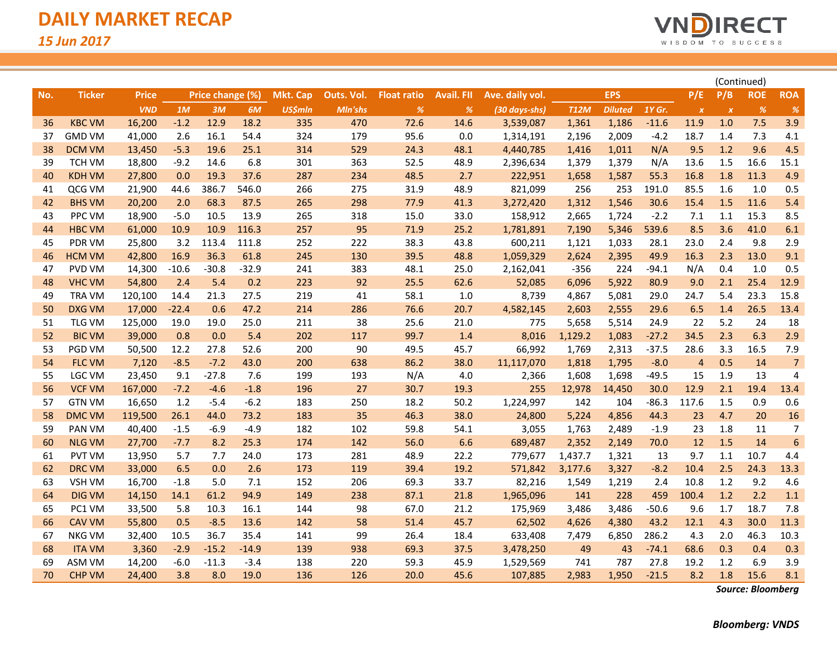

|     |               |              |         |                  |         |                 |            |                    |                   |                 |             |                |         |                         |                           | (Continued) |                |
|-----|---------------|--------------|---------|------------------|---------|-----------------|------------|--------------------|-------------------|-----------------|-------------|----------------|---------|-------------------------|---------------------------|-------------|----------------|
| No. | <b>Ticker</b> | <b>Price</b> |         | Price change (%) |         | <b>Mkt. Cap</b> | Outs. Vol. | <b>Float ratio</b> | <b>Avail. FII</b> | Ave. daily vol. |             | <b>EPS</b>     |         | P/E                     | P/B                       | <b>ROE</b>  | <b>ROA</b>     |
|     |               | <b>VND</b>   | 1M      | 3M               | 6M      | <b>US\$mln</b>  | Mln'shs    | %                  | %                 | (30 days-shs)   | <b>T12M</b> | <b>Diluted</b> | 1Y Gr.  | $\boldsymbol{X}$        | $\boldsymbol{\mathsf{x}}$ | %           | $\frac{9}{6}$  |
| 36  | <b>KBC VM</b> | 16,200       | $-1.2$  | 12.9             | 18.2    | 335             | 470        | 72.6               | 14.6              | 3,539,087       | 1,361       | 1,186          | $-11.6$ | 11.9                    | 1.0                       | 7.5         | 3.9            |
| 37  | <b>GMD VM</b> | 41,000       | 2.6     | 16.1             | 54.4    | 324             | 179        | 95.6               | 0.0               | 1,314,191       | 2,196       | 2,009          | $-4.2$  | 18.7                    | 1.4                       | 7.3         | 4.1            |
| 38  | <b>DCM VM</b> | 13,450       | $-5.3$  | 19.6             | 25.1    | 314             | 529        | 24.3               | 48.1              | 4,440,785       | 1,416       | 1,011          | N/A     | 9.5                     | 1.2                       | 9.6         | 4.5            |
| 39  | <b>TCH VM</b> | 18,800       | $-9.2$  | 14.6             | 6.8     | 301             | 363        | 52.5               | 48.9              | 2,396,634       | 1,379       | 1,379          | N/A     | 13.6                    | 1.5                       | 16.6        | 15.1           |
| 40  | <b>KDH VM</b> | 27,800       | 0.0     | 19.3             | 37.6    | 287             | 234        | 48.5               | 2.7               | 222,951         | 1,658       | 1,587          | 55.3    | 16.8                    | 1.8                       | 11.3        | 4.9            |
| 41  | QCG VM        | 21,900       | 44.6    | 386.7            | 546.0   | 266             | 275        | 31.9               | 48.9              | 821,099         | 256         | 253            | 191.0   | 85.5                    | 1.6                       | 1.0         | 0.5            |
| 42  | <b>BHS VM</b> | 20,200       | 2.0     | 68.3             | 87.5    | 265             | 298        | 77.9               | 41.3              | 3,272,420       | 1,312       | 1,546          | 30.6    | 15.4                    | 1.5                       | 11.6        | 5.4            |
| 43  | PPC VM        | 18,900       | $-5.0$  | 10.5             | 13.9    | 265             | 318        | 15.0               | 33.0              | 158,912         | 2,665       | 1,724          | $-2.2$  | 7.1                     | 1.1                       | 15.3        | 8.5            |
| 44  | <b>HBC VM</b> | 61,000       | 10.9    | 10.9             | 116.3   | 257             | 95         | 71.9               | 25.2              | 1,781,891       | 7,190       | 5,346          | 539.6   | 8.5                     | 3.6                       | 41.0        | 6.1            |
| 45  | PDR VM        | 25,800       | 3.2     | 113.4            | 111.8   | 252             | 222        | 38.3               | 43.8              | 600,211         | 1,121       | 1,033          | 28.1    | 23.0                    | 2.4                       | 9.8         | 2.9            |
| 46  | <b>HCM VM</b> | 42,800       | 16.9    | 36.3             | 61.8    | 245             | 130        | 39.5               | 48.8              | 1,059,329       | 2,624       | 2,395          | 49.9    | 16.3                    | 2.3                       | 13.0        | 9.1            |
| 47  | PVD VM        | 14,300       | $-10.6$ | $-30.8$          | $-32.9$ | 241             | 383        | 48.1               | 25.0              | 2,162,041       | $-356$      | 224            | $-94.1$ | N/A                     | 0.4                       | 1.0         | 0.5            |
| 48  | <b>VHC VM</b> | 54,800       | 2.4     | 5.4              | 0.2     | 223             | 92         | 25.5               | 62.6              | 52,085          | 6,096       | 5,922          | 80.9    | 9.0                     | 2.1                       | 25.4        | 12.9           |
| 49  | <b>TRA VM</b> | 120,100      | 14.4    | 21.3             | 27.5    | 219             | 41         | 58.1               | 1.0               | 8,739           | 4,867       | 5,081          | 29.0    | 24.7                    | 5.4                       | 23.3        | 15.8           |
| 50  | <b>DXG VM</b> | 17,000       | $-22.4$ | 0.6              | 47.2    | 214             | 286        | 76.6               | 20.7              | 4,582,145       | 2,603       | 2,555          | 29.6    | 6.5                     | 1.4                       | 26.5        | 13.4           |
| 51  | TLG VM        | 125,000      | 19.0    | 19.0             | 25.0    | 211             | 38         | 25.6               | 21.0              | 775             | 5,658       | 5,514          | 24.9    | 22                      | 5.2                       | 24          | 18             |
| 52  | <b>BIC VM</b> | 39,000       | 0.8     | 0.0              | 5.4     | 202             | 117        | 99.7               | 1.4               | 8,016           | 1,129.2     | 1,083          | $-27.2$ | 34.5                    | 2.3                       | 6.3         | 2.9            |
| 53  | PGD VM        | 50,500       | 12.2    | 27.8             | 52.6    | 200             | 90         | 49.5               | 45.7              | 66,992          | 1,769       | 2,313          | $-37.5$ | 28.6                    | 3.3                       | 16.5        | 7.9            |
| 54  | <b>FLC VM</b> | 7,120        | $-8.5$  | $-7.2$           | 43.0    | 200             | 638        | 86.2               | 38.0              | 11,117,070      | 1,818       | 1,795          | $-8.0$  | $\overline{\mathbf{4}}$ | 0.5                       | 14          | $\overline{7}$ |
| 55  | LGC VM        | 23,450       | 9.1     | $-27.8$          | 7.6     | 199             | 193        | N/A                | 4.0               | 2,366           | 1,608       | 1,698          | $-49.5$ | 15                      | 1.9                       | 13          | 4              |
| 56  | <b>VCF VM</b> | 167,000      | $-7.2$  | $-4.6$           | $-1.8$  | 196             | 27         | 30.7               | 19.3              | 255             | 12,978      | 14,450         | 30.0    | 12.9                    | 2.1                       | 19.4        | 13.4           |
| 57  | <b>GTN VM</b> | 16,650       | 1.2     | $-5.4$           | $-6.2$  | 183             | 250        | 18.2               | 50.2              | 1,224,997       | 142         | 104            | $-86.3$ | 117.6                   | 1.5                       | 0.9         | 0.6            |
| 58  | <b>DMC VM</b> | 119,500      | 26.1    | 44.0             | 73.2    | 183             | 35         | 46.3               | 38.0              | 24,800          | 5,224       | 4,856          | 44.3    | 23                      | 4.7                       | 20          | 16             |
| 59  | <b>PAN VM</b> | 40,400       | $-1.5$  | $-6.9$           | $-4.9$  | 182             | 102        | 59.8               | 54.1              | 3,055           | 1,763       | 2,489          | $-1.9$  | 23                      | 1.8                       | 11          | 7              |
| 60  | <b>NLG VM</b> | 27,700       | $-7.7$  | 8.2              | 25.3    | 174             | 142        | 56.0               | 6.6               | 689,487         | 2,352       | 2,149          | 70.0    | 12                      | 1.5                       | 14          | 6              |
| 61  | <b>PVT VM</b> | 13,950       | 5.7     | 7.7              | 24.0    | 173             | 281        | 48.9               | 22.2              | 779,677         | 1,437.7     | 1,321          | 13      | 9.7                     | 1.1                       | 10.7        | 4.4            |
| 62  | <b>DRC VM</b> | 33,000       | 6.5     | 0.0              | 2.6     | 173             | 119        | 39.4               | 19.2              | 571,842         | 3,177.6     | 3,327          | $-8.2$  | 10.4                    | 2.5                       | 24.3        | 13.3           |
| 63  | <b>VSH VM</b> | 16,700       | $-1.8$  | 5.0              | 7.1     | 152             | 206        | 69.3               | 33.7              | 82,216          | 1,549       | 1,219          | 2.4     | 10.8                    | 1.2                       | 9.2         | 4.6            |
| 64  | <b>DIG VM</b> | 14,150       | 14.1    | 61.2             | 94.9    | 149             | 238        | 87.1               | 21.8              | 1,965,096       | 141         | 228            | 459     | 100.4                   | 1.2                       | 2.2         | 1.1            |
| 65  | PC1 VM        | 33,500       | 5.8     | 10.3             | 16.1    | 144             | 98         | 67.0               | 21.2              | 175,969         | 3,486       | 3,486          | $-50.6$ | 9.6                     | 1.7                       | 18.7        | 7.8            |
| 66  | <b>CAV VM</b> | 55,800       | 0.5     | $-8.5$           | 13.6    | 142             | 58         | 51.4               | 45.7              | 62,502          | 4,626       | 4,380          | 43.2    | 12.1                    | 4.3                       | 30.0        | 11.3           |
| 67  | <b>NKG VM</b> | 32,400       | 10.5    | 36.7             | 35.4    | 141             | 99         | 26.4               | 18.4              | 633,408         | 7,479       | 6,850          | 286.2   | 4.3                     | 2.0                       | 46.3        | 10.3           |
| 68  | <b>ITA VM</b> | 3,360        | $-2.9$  | $-15.2$          | $-14.9$ | 139             | 938        | 69.3               | 37.5              | 3,478,250       | 49          | 43             | $-74.1$ | 68.6                    | 0.3                       | 0.4         | 0.3            |
| 69  | ASM VM        | 14,200       | $-6.0$  | $-11.3$          | $-3.4$  | 138             | 220        | 59.3               | 45.9              | 1,529,569       | 741         | 787            | 27.8    | 19.2                    | 1.2                       | 6.9         | 3.9            |
| 70  | <b>CHP VM</b> | 24,400       | 3.8     | 8.0              | 19.0    | 136             | 126        | 20.0               | 45.6              | 107,885         | 2,983       | 1,950          | $-21.5$ | 8.2                     | 1.8                       | 15.6        | 8.1            |

*Source: Bloomberg*